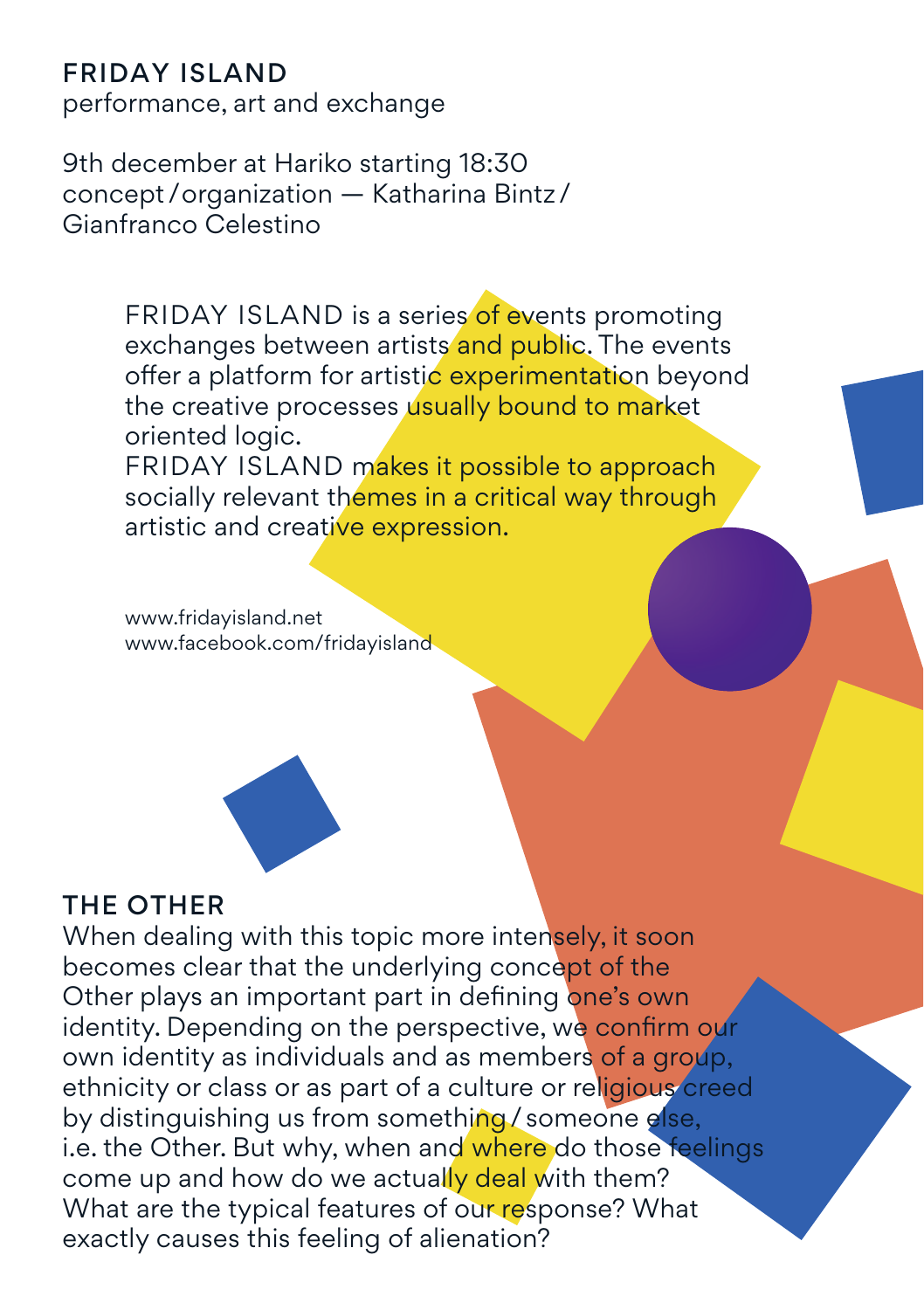### Friday Island

performance, art and exchange

9th december at Hariko starting 18:30 concept /organization — Katharina Bintz / Gianfranco Celestino

> FRIDAY ISLAND is a series of events promoting exchanges between artists and public. The events offer a platform for artistic experimentation beyond the creative processes usually bound to market oriented logic. FRIDAY ISLAND makes it possible to approach

socially relevant themes in a critical way through artistic and creative expression.

www.fridayisland.net www.facebook.com/fridayisland



### THE OTHER

When dealing with this topic more intensely, it soon becomes clear that the underlying concept of the Other plays an important part in defining one's own identity. Depending on the perspective, we confirm our own identity as individuals and as members of a group. ethnicity or class or as part of a culture or religious creed by distinguishing us from something/someone else, i.e. the Other. But why, when and where do those feelings come up and how do we actually deal with them? What are the typical features of our response? What exactly causes this feeling of alienation?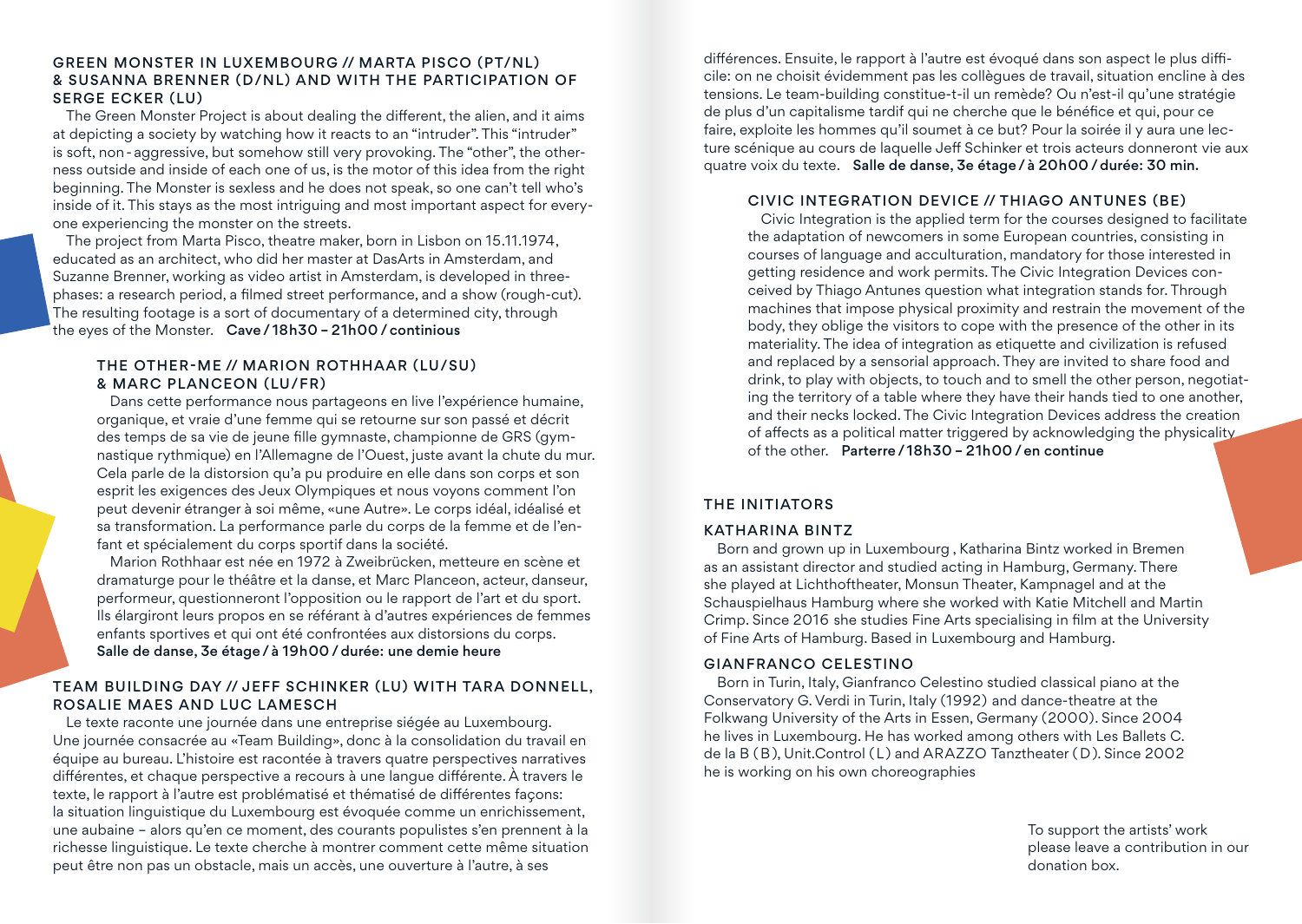#### green monster in Luxembourg // Marta Pisco (PT/NL) & Susanna Brenner (D/NL) and WITH THE participation of Serge Ecker (LU)

The Green Monster Project is about dealing the different, the alien, and it aims at depicting a society by watching how it reacts to an "intruder". This "intruder" is soft, non-aggressive, but somehow still very provoking. The "other", the otherness outside and inside of each one of us, is the motor of this idea from the right beginning. The Monster is sexless and he does not speak, so one can't tell who's inside of it. This stays as the most intriguing and most important aspect for everyone experiencing the monster on the streets.

The project from Marta Pisco, theatre maker, born in Lisbon on 15.11.1974, educated as an architect, who did her master at DasArts in Amsterdam, and Suzanne Brenner, working as video artist in Amsterdam, is developed in threephases: a research period, a filmed street performance, and a show (rough-cut). The resulting footage is a sort of documentary of a determined city, through the eyes of the Monster. Cave/ 18h30 – 21h00 /continious

#### The other-me // Marion Rothhaar (LU/SU) & Marc Planceon (LU/FR)

Dans cette performance nous partageons en live l'expérience humaine, organique, et vraie d'une femme qui se retourne sur son passé et décrit des temps de sa vie de jeune fille gymnaste, championne de GRS (gymnastique rythmique) en l'Allemagne de l'Ouest, juste avant la chute du mur. Cela parle de la distorsion qu'a pu produire en elle dans son corps et son esprit les exigences des Jeux Olympiques et nous voyons comment l'on peut devenir étranger à soi même, «une Autre». Le corps idéal, idéalisé et sa transformation. La performance parle du corps de la femme et de l'enfant et spécialement du corps sportif dans la société.

Marion Rothhaar est née en 1972 à Zweibrücken, metteure en scène et dramaturge pour le théâtre et la danse, et Marc Planceon, acteur, danseur, performeur, questionneront l'opposition ou le rapport de l'art et du sport. Ils élargiront leurs propos en se référant à d'autres expériences de femmes enfants sportives et qui ont été confrontées aux distorsions du corps. Salle de danse, 3e étage/ à 19h00 /durée: une demie heure

# Team Building Day // Jeff Schinker (LU) WITH Tara Donnell,

Rosalie Maes and Luc Lamesch Le texte raconte une journée dans une entreprise siégée au Luxembourg. Une journée consacrée au «Team Building», donc à la consolidation du travail en équipe au bureau. L'histoire est racontée à travers quatre perspectives narratives différentes, et chaque perspective a recours à une langue différente. À travers le texte, le rapport à l'autre est problématisé et thématisé de différentes façons:

la situation linguistique du Luxembourg est évoquée comme un enrichissement, une aubaine – alors qu'en ce moment, des courants populistes s'en prennent à la richesse linguistique. Le texte cherche à montrer comment cette même situation peut être non pas un obstacle, mais un accès, une ouverture à l'autre, à ses

différences. Ensuite, le rapport à l'autre est évoqué dans son aspect le plus difficile: on ne choisit évidemment pas les collègues de travail, situation encline à des tensions. Le team-building constitue-t-il un remède? Ou n'est-il qu'une stratégie de plus d'un capitalisme tardif qui ne cherche que le bénéfice et qui, pour ce faire, exploite les hommes qu'il soumet à ce but? Pour la soirée il y aura une lecture scénique au cours de laquelle Jeff Schinker et trois acteurs donneront vie aux quatre voix du texte. Salle de danse, 3e étage/ à 20h00 /durée: 30 min.

#### Civic Integration Device // Thiago Antunes (BE)

Civic Integration is the applied term for the courses designed to facilitate the adaptation of newcomers in some European countries, consisting in courses of language and acculturation, mandatory for those interested in getting residence and work permits. The Civic Integration Devices conceived by Thiago Antunes question what integration stands for. Through machines that impose physical proximity and restrain the movement of the body, they oblige the visitors to cope with the presence of the other in its materiality. The idea of integration as etiquette and civilization is refused and replaced by a sensorial approach. They are invited to share food and drink, to play with objects, to touch and to smell the other person, negotiating the territory of a table where they have their hands tied to one another, and their necks locked. The Civic Integration Devices address the creation of affects as a political matter triggered by acknowledging the physicality of the other. Parterre/ 18h30 – 21h00 /en continue

#### The Initiators

#### Katharina Bintz

Born and grown up in Luxembourg , Katharina Bintz worked in Bremen as an assistant director and studied acting in Hamburg, Germany. There she played at Lichthoftheater, Monsun Theater, Kampnagel and at the Schauspielhaus Hamburg where she worked with Katie Mitchell and Martin Crimp. Since 2016 she studies Fine Arts specialising in film at the University of Fine Arts of Hamburg. Based in Luxembourg and Hamburg.

#### Gianfranco Celestino

Born in Turin, Italy, Gianfranco Celestino studied classical piano at the Conservatory G. Verdi in Turin, Italy (1992) and dance-theatre at the Folkwang University of the Arts in Essen, Germany (2000). Since 2004 he lives in Luxembourg. He has worked among others with Les Ballets C. de la B ( B), Unit.Control ( L) and ARAZZO Tanztheater ( D ). Since 2002 he is working on his own choreographies

> To support the artists' work please leave a contribution in our donation box.